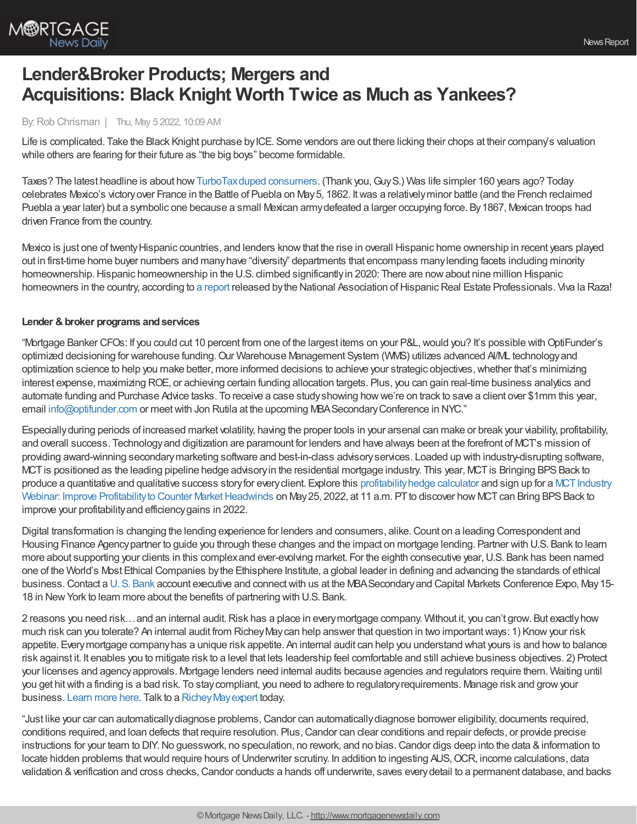

# **Lender&Broker Products; Mergers and Acquisitions: Black Knight Worth Twice as Much as Yankees?**

#### By:Rob Chrisman | Thu, May 5 2022, 10:09 AM

Life is complicated. Take the Black Knight purchase byICE. Some vendors are out there licking their chops at their company's valuation while others are fearing for their future as "the big boys" become formidable.

Taxes? The latest headline is about how [TurboTaxduped](https://www.thinkadvisor.com/2022/05/04/turbotax-in-141m-deal-to-settle-claim-it-duped-consumers/) consumers. (Thank you, GuyS.) Was life simpler 160 years ago? Today celebrates Mexico's victoryover France in the Battle of Puebla on May5, 1862. Itwas a relativelyminor battle (and the French reclaimed Puebla a year later) but a symbolic one because a small Mexican armydefeated a larger occupying force. By1867, Mexican troops had driven France from the country.

Mexico is just one of twentyHispanic countries, and lenders knowthat the rise in overall Hispanic home ownership in recent years played out in first-time home buyer numbers and manyhave "diversity" departments that encompass manylending facets including minority homeownership. Hispanic homeownership in the U.S. climbed significantly in 2020: There are now about nine million Hispanic homeowners in the country, according to a [report](https://nahrep.org/) released by the National Association of Hispanic Real Estate Professionals. Viva la Raza!

### **Lender & broker programs and services**

"Mortgage Banker CFOs: If you could cut 10 percent from one of the largest items on your P&L, would you? It's possible with OptiFunder's optimized decisioning for warehouse funding. Our Warehouse Management System (WMS) utilizes advanced AI/ML technology and optimization science to help you make better, more informed decisions to achieve your strategic objectives,whether that's minimizing interest expense, maximizing ROE, or achieving certain funding allocation targets. Plus, you can gain real-time business analytics and automate funding and Purchase Advice tasks. To receive a case studyshowing howwe're on track to save a client over \$1mm this year, email [info@optifunder.com](mailto:info@optifunder.com?subject=Please%20send%20me%20your%20recent%20Case%20Study.) or meet with Jon Rutila at the upcoming MBA Secondary Conference in NYC."

Especiallyduring periods of increased market volatility, having the proper tools in your arsenal can make or break your viability, profitability, and overall success. Technologyand digitization are paramount for lenders and have always been at the forefront of MCT's mission of providing award-winning secondarymarketing software and best-in-class advisoryservices. Loaded up with industry-disrupting software, MCT is positioned as the leading pipeline hedge advisory in the residential mortgage industry. This year, MCT is Bringing BPS Back to produce a quantitative and qualitative success story for every client. Explore this profitability hedge calculator and sign up for a MCT Industry Webinar: Improve Profitability to Counter Market Headwinds on May 25, 2022, at 11 a.m. PT to discover how MCT can Bring BPS Back to improve your profitabilityand efficiencygains in 2022.

Digital transformation is changing the lending experience for lenders and consumers, alike.Count on a leading Correspondent and Housing Finance Agencypartner to guide you through these changes and the impact on mortgage lending. Partner with U.S. Bank to learn more about supporting your clients in this complex and ever-evolving market. For the eighth consecutive year, U.S. Bank has been named one of the World's Most Ethical Companies bythe Ethisphere Institute, a global leader in defining and advancing the standards of ethical business.Contact a U. S. [Bank](https://www.usbank.com/corporate-and-commercial-banking/industry-expertise/correspondent-lending.html) account executive and connectwith us at the MBASecondaryand Capital Markets Conference Expo, May15- 18 in New York to learn more about the benefits of partnering with U.S. Bank.

2 reasons you need risk... and an internal audit. Risk has a place in every mortgage company. Without it, you can't grow. But exactly how much risk can you tolerate? An internal audit from Richey May can help answer that question in two important ways: 1) Know your risk appetite. Everymortgage companyhas a unique risk appetite. An internal audit can help you understand what yours is and howto balance risk against it. It enables you to mitigate risk to a level that lets leadership feel comfortable and still achieve business objectives. 2) Protect your licenses and agencyapprovals. Mortgage lenders need internal audits because agencies and regulators require them. Waiting until you get hitwith a finding is a bad risk. To staycompliant, you need to adhere to regulatoryrequirements. Manage risk and growyour business. [Learn](https://richeymay.com/resource/articles/internal-audits-why-every-lender-needs-safeties-and-cornerbacks/) more here. Talk to a Richey May expert today.

"Just like your car can automaticallydiagnose problems,Candor can automaticallydiagnose borrower eligibility, documents required, conditions required, and loan defects that require resolution. Plus, Candor can clear conditions and repair defects, or provide precise instructions for your team to DIY. No guesswork, no speculation, no rework, and no bias. Candor digs deep into the data & information to locate hidden problems that would require hours of Underwriter scrutiny. In addition to ingesting AUS, OCR, income calculations, data validation & verification and cross checks, Candor conducts a hands off underwrite, saves every detail to a permanent database, and backs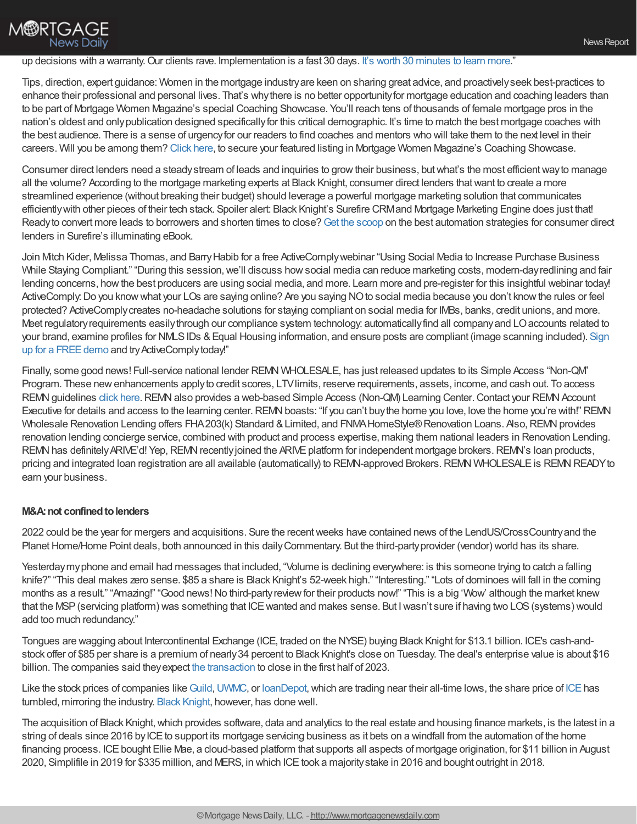# up decisions with a warranty. Our clients rave. Implementation is a fast 30 days. It's worth 30 [minutes](https://info.candortechnology.com/rc3) to learn more."

Tips, direction, expert guidance: Women in the mortgage industryare keen on sharing great advice, and proactivelyseek best-practices to enhance their professional and personal lives. That's whythere is no better opportunityfor mortgage education and coaching leaders than to be part of Mortgage Women Magazine's special Coaching Showcase. You'll reach tens of thousands of female mortgage pros in the nation's oldest and only publication designed specifically for this critical demographic. It's time to match the best mortgage coaches with the best audience. There is a sense of urgencyfor our readers to find coaches and mentors who will take them to the next level in their careers. Will you be among them? [Click](http://mwm_coaches_listing/) here, to secure your featured listing in Mortgage Women Magazine's Coaching Showcase.

Consumer direct lenders need a steady stream of leads and inquiries to grow their business, but what's the most efficient way to manage all the volume? According to the mortgage marketing experts at Black Knight, consumer direct lenders thatwant to create a more streamlined experience (without breaking their budget) should leverage a powerful mortgage marketing solution that communicates efficientlywith other pieces of their tech stack. Spoiler alert: Black Knight's Surefire CRMand Mortgage Marketing Engine does just that! Ready to convert more leads to borrowers and shorten times to close? Get the [scoop](https://pages.topofmind.com/consumer-direct-ebook-download?utm_campaign=Inbound%20Content&utm_source=rob-chrisman&utm_medium=paid-referral&utm_term=download-the-ebook&utm_content=ebook) on the best automation strategies for consumer direct lenders in Surefire's illuminating eBook.

Join Mtch Kider, Melissa Thomas, and Barry Habib for a free ActiveComply webinar "Using Social Media to Increase Purchase Business While Staying Compliant." "During this session, we'll discuss how social media can reduce marketing costs, modern-day redlining and fair lending concerns, how the best producers are using social media, and more. Learn more and pre-register for this insightful webinar today! ActiveComply: Do you know what your LOs are saying online? Are you saying NO to social media because you don't know the rules or feel protected? ActiveComplycreates no-headache solutions for staying compliant on social media for IMBs, banks, credit unions, and more. Meet regulatoryrequirements easilythrough our compliance system technology: automaticallyfind all companyand LOaccounts related to your brand, examine profiles for NMLS IDs & Equal Housing information, and ensure posts are compliant (image scanning included). Sign up for a FREE demo and try ActiveComplytoday!"

Finally, some good news! Full-service national lender REMN WHOLESALE, has just released updates to its Simple Access "Non-QM" Program. These newenhancements applyto credit scores, LTVlimits, reserve requirements, assets, income, and cash out. To access REMN guidelines click [here](https://www.remnwholesale.com/product-guidelines/). REMN also provides a web-based Simple Access (Non-QM) Learning Center. Contact your REMN Account Executive for details and access to the learning center. REMN boasts: "If you can't buy the home you love, love the home you're with!" REMN Wholesale Renovation Lending offers FHA203(k) Standard & Limited, and FNMA HomeStyle® Renovation Loans. Also, REMN provides renovation lending concierge service, combined with product and process expertise, making them national leaders in Renovation Lending. REMN has definitely ARIVE'd! Yep, REMN recently joined the ARIVE platform for independent mortgage brokers. REMN's loan products, pricing and integrated loan registration are all available (automatically) to REMN-approved Brokers. REMN WHOLESALE is REMN READY to earn your business.

#### **M&A: not confined to lenders**

**M®RTGAGE** 

**News Daily** 

2022 could be the year for mergers and acquisitions. Sure the recentweeks have contained news of the LendUS/CrossCountryand the Planet Home/Home Point deals, both announced in this daily Commentary. But the third-party provider (vendor) world has its share.

Yesterday my phone and email had messages that included, "Volume is declining everywhere: is this someone trying to catch a falling knife?" "This deal makes zero sense. \$85 a share is Black Knight's 52-week high." "Interesting." "Lots of dominoes will fall in the coming months as a result." "Amazing!" "Good news! No third-party review for their products now!" "This is a big 'Wow' although the market knew that the MSP(servicing platform) was something that ICEwanted and makes sense. But Iwasn't sure if having two LOS(systems) would add too much redundancy."

Tongues are wagging about Intercontinental Exchange (ICE, traded on the NYSE) buying Black Knight for \$13.1 billion. ICE's cash-andstock offer of \$85 per share is a premium of nearly34 percent to Black Knight's close on Tuesday. The deal's enterprise value is about \$16 billion. The companies said theyexpect the [transaction](https://www.businesswire.com/news/home/20220504006135/en/Intercontinental-Exchange-Enters-into-Definitive-Agreement-to-Acquire-Black-Knight) to close in the first half of 2023.

Like the stock prices of companies like [Guild](https://finance.yahoo.com/quote/GHLD), UVMC, or [loanDepot,](https://finance.yahoo.com/quote/LDI/) which are trading near their all-time lows, the share price of [ICE](https://finance.yahoo.com/quote/ICE) has tumbled, mirroring the industry. Black [Knight,](https://finance.yahoo.com/quote/BKI/) however, has done well.

The acquisition of Black Knight,which provides software, data and analytics to the real estate and housing finance markets, is the latest in a string of deals since 2016 by ICE to support its mortgage servicing business as it bets on a windfall from the automation of the home financing process. ICE bought Ellie Mae, a cloud-based platform that supports all aspects of mortgage origination, for \$11 billion in August 2020, Simplifile in 2019 for \$335 million, and MERS, in which ICEtook a majoritystake in 2016 and bought outright in 2018.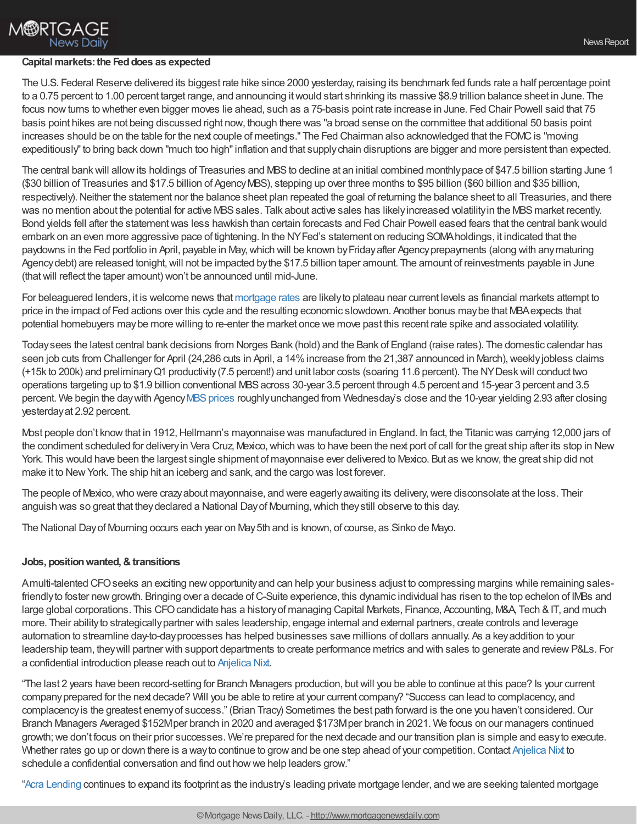# **M®RTGAGE** News Dailv

# **Capitalmarkets:the Feddoes as expected**

The U.S. Federal Reserve delivered its biggest rate hike since 2000 yesterday, raising its benchmark fed funds rate a half percentage point to a 0.75 percent to 1.00 percent target range, and announcing it would start shrinking its massive \$8.9 trillion balance sheet in June. The focus nowturns to whether even bigger moves lie ahead, such as a 75-basis point rate increase in June. Fed Chair Powell said that 75 basis point hikes are not being discussed right now, though there was "a broad sense on the committee that additional 50 basis point increases should be on the table for the next couple of meetings." The Fed Chairman also acknowledged that the FOMC is "moving expeditiously" to bring back down "much too high" inflation and that supply chain disruptions are bigger and more persistent than expected.

The central bank will allow its holdings of Treasuries and MBS to decline at an initial combined monthly pace of \$47.5 billion starting June 1 (\$30 billion of Treasuries and \$17.5 billion of AgencyMBS), stepping up over three months to \$95 billion (\$60 billion and \$35 billion, respectively). Neither the statement nor the balance sheet plan repeated the goal of returning the balance sheet to all Treasuries, and there was no mention about the potential for active MBS sales. Talk about active sales has likely increased volatility in the MBS market recently. Bond yields fell after the statementwas less hawkish than certain forecasts and Fed Chair Powell eased fears that the central bankwould embark on an even more aggressive pace of tightening. In the NYFed's statement on reducing SOMAholdings, it indicated that the paydowns in the Fed portfolio in April, payable in May, which will be known by Friday after Agency prepayments (along with any maturing Agencydebt) are released tonight,will not be impacted bythe \$17.5 billion taper amount. The amount of reinvestments payable in June (that will reflect the taper amount) won't be announced until mid-June.

For beleaguered lenders, it is welcome news that [mortgage](https://www.mortgagenewsdaily.com/mortgage-rates) rates are likelyto plateau near current levels as financial markets attempt to price in the impact of Fed actions over this cycle and the resulting economic slowdown. Another bonus maybe that MBAexpects that potential homebuyers maybe more willing to re-enter the market once we move past this recent rate spike and associated volatility.

Todaysees the latest central bank decisions from Norges Bank (hold) and the Bank of England (raise rates). The domestic calendar has seen job cuts from Challenger for April (24,286 cuts in April, a 14% increase from the 21,387 announced in March), weekly jobless claims (+15k to 200k) and preliminaryQ1 productivity(7.5 percent!) and unit labor costs (soaring 11.6 percent). The NYDeskwill conduct two operations targeting up to \$1.9 billion conventional MBSacross 30-year 3.5 percent through 4.5 percent and 15-year 3 percent and 3.5 percent. We begin the day with Agency MBS prices roughly unchanged from Wednesday's close and the 10-year yielding 2.93 after closing yesterdayat 2.92 percent.

Most people don't know that in 1912, Hellmann's mayonnaise was manufactured in England. In fact, the Titanic was carrying 12,000 jars of the condiment scheduled for delivery in Vera Cruz, Mexico, which was to have been the next port of call for the great ship after its stop in New York. This would have been the largest single shipment of mayonnaise ever delivered to Mexico. But as we know, the great ship did not make it to NewYork. The ship hit an iceberg and sank, and the cargo was lost forever.

The people of Mexico,who were crazyabout mayonnaise, and were eagerlyawaiting its delivery,were disconsolate at the loss. Their anguish was so great that theydeclared a National Dayof Mourning,which theystill observe to this day.

The National Dayof Mourning occurs each year on May5th and is known, of course, as Sinko de Mayo.

# **Jobs, positionwanted,&transitions**

Amulti-talented CFOseeks an exciting newopportunityand can help your business adjust to compressing margins while remaining salesfriendly to foster new growth. Bringing over a decade of C-Suite experience, this dynamic individual has risen to the top echelon of IMBs and large global corporations. This CFOcandidate has a historyof managing Capital Markets, Finance, Accounting, M&A, Tech &IT, and much more. Their abilityto strategicallypartner with sales leadership, engage internal and external partners, create controls and leverage automation to streamline day-to-dayprocesses has helped businesses save millions of dollars annually. As a keyaddition to your leadership team, they will partner with support departments to create performance metrics and with sales to generate and review P&Ls. For a confidential introduction please reach out to [Anjelica](mailto:anixt@robchrisman.com) Nixt.

"The last 2 years have been record-setting for Branch Managers production, butwill you be able to continue at this pace? Is your current companyprepared for the next decade? Will you be able to retire at your current company? "Success can lead to complacency, and complacencyis the greatest enemyof success." (Brian Tracy) Sometimes the best path forward is the one you haven't considered.Our Branch Managers Averaged \$152Mper branch in 2020 and averaged \$173Mper branch in 2021. We focus on our managers continued growth;we don't focus on their prior successes. We're prepared for the next decade and our transition plan is simple and easyto execute. Whether rates go up or down there is a way to continue to grow and be one step ahead of your competition. Contact [Anjelica](mailto:anixt@robchrisman.com) Nixt to schedule a confidential conversation and find out how we help leaders grow."

"Acra [Lending](https://r20.rs6.net/tn.jsp?f=001dMn2lAhe0FmX_n-GLhafdD0Kq3Ru3Q4dfXFDLveH9lFmt1rQ3mEbboGKgQWOrnCeXQe1SM66p4CvCp__Pgnbnn_UEtPbFxMSxgMq5o4qe2XeH4dusWhaie-dNe7Ni1HEtCWpzeRKvt6o-6QgKM7wBg==&c=WiYCWouyt66Kl4W_HsKRhr7_ilAR0cXrobWj9Ed1QhypF0Q9-Fq_RA==&ch=DynQTwdW9U7LDUAkbSPE25OLx-6AERs3IMbrGzObA0oEepm_eM22qw==) continues to expand its footprint as the industry's leading private mortgage lender, and we are seeking talented mortgage